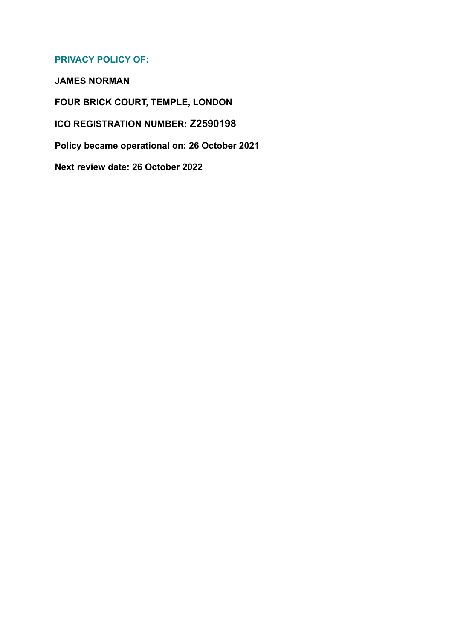# **PRIVACY POLICY OF:**

**JAMES NORMAN**

**FOUR BRICK COURT, TEMPLE, LONDON**

**ICO REGISTRATION NUMBER: Z2590198**

**Policy became operational on: 26 October 2021**

**Next review date: 26 October 2022**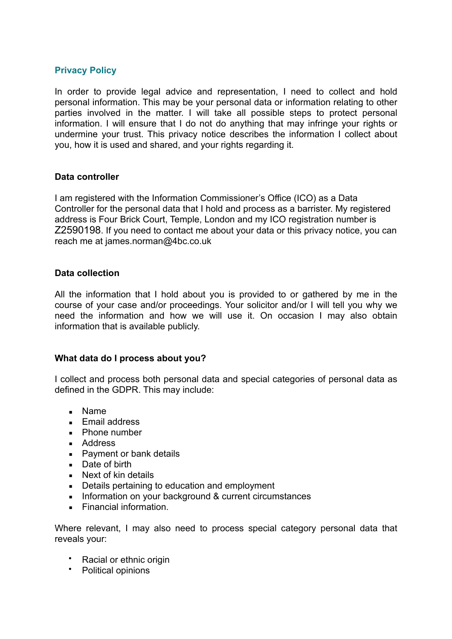## **Privacy Policy**

In order to provide legal advice and representation, I need to collect and hold personal information. This may be your personal data or information relating to other parties involved in the matter. I will take all possible steps to protect personal information. I will ensure that I do not do anything that may infringe your rights or undermine your trust. This privacy notice describes the information I collect about you, how it is used and shared, and your rights regarding it.

#### **Data controller**

I am registered with the Information Commissioner's Office (ICO) as a Data Controller for the personal data that I hold and process as a barrister. My registered address is Four Brick Court, Temple, London and my ICO registration number is Z2590198. If you need to contact me about your data or this privacy notice, you can reach me at james.norman@4bc.co.uk

#### **Data collection**

All the information that I hold about you is provided to or gathered by me in the course of your case and/or proceedings. Your solicitor and/or I will tell you why we need the information and how we will use it. On occasion I may also obtain information that is available publicly.

### **What data do I process about you?**

I collect and process both personal data and special categories of personal data as defined in the GDPR. This may include:

- Name
- **E** Email address
- $\blacksquare$  Phone number
- Address
- Payment or bank details
- Date of birth
- $\blacksquare$  Next of kin details
- Details pertaining to education and employment
- **EXECUTE:** Information on your background & current circumstances
- **Einancial information**

Where relevant, I may also need to process special category personal data that reveals your:

- Racial or ethnic origin
- Political opinions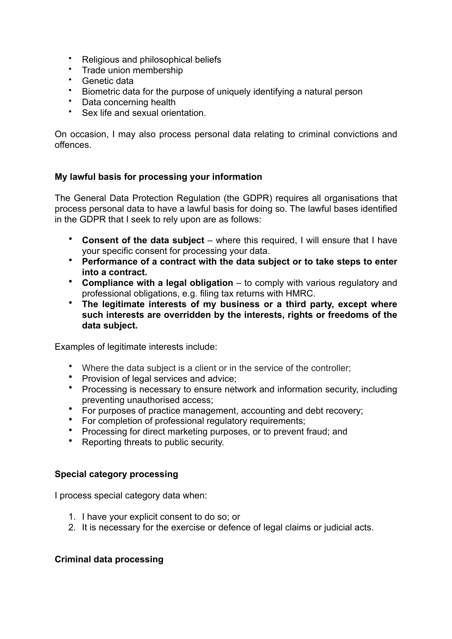- Religious and philosophical beliefs
- Trade union membership<br>• Genetic data
- Genetic data
- Biometric data for the purpose of uniquely identifying a natural person
- Data concerning health
- Sex life and sexual orientation.

On occasion, I may also process personal data relating to criminal convictions and offences.

## **My lawful basis for processing your information**

The General Data Protection Regulation (the GDPR) requires all organisations that process personal data to have a lawful basis for doing so. The lawful bases identified in the GDPR that I seek to rely upon are as follows:

- **Consent of the data subject**  where this required, I will ensure that I have your specific consent for processing your data.
- **Performance of a contract with the data subject or to take steps to enter into a contract.**
- **Compliance with a legal obligation**  to comply with various regulatory and professional obligations, e.g. filing tax returns with HMRC.
- **The legitimate interests of my business or a third party, except where such interests are overridden by the interests, rights or freedoms of the data subject.**

Examples of legitimate interests include:

- Where the data subject is a client or in the service of the controller;
- Provision of legal services and advice;
- Processing is necessary to ensure network and information security, including preventing unauthorised access;
- For purposes of practice management, accounting and debt recovery;<br>• For completion of professional requisitory requirements:
- For completion of professional regulatory requirements:
- Processing for direct marketing purposes, or to prevent fraud; and
- Reporting threats to public security.

### **Special category processing**

I process special category data when:

- 1. I have your explicit consent to do so; or
- 2. It is necessary for the exercise or defence of legal claims or judicial acts.

### **Criminal data processing**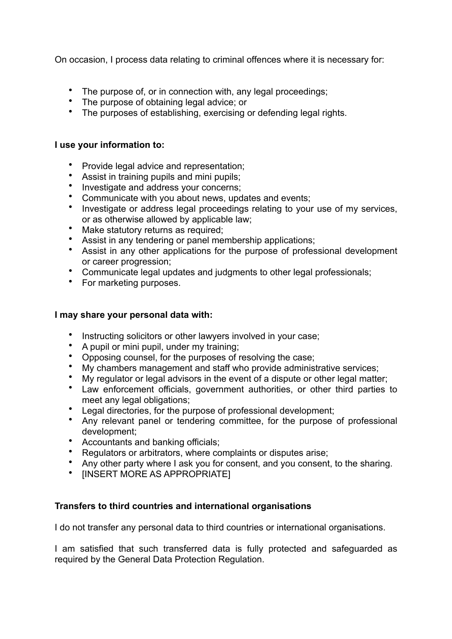On occasion, I process data relating to criminal offences where it is necessary for:

- The purpose of, or in connection with, any legal proceedings;
- The purpose of obtaining legal advice; or
- The purposes of establishing, exercising or defending legal rights.

### **I use your information to:**

- Provide legal advice and representation;
- Assist in training pupils and mini pupils;
- Investigate and address your concerns;
- Communicate with you about news, updates and events;
- Investigate or address legal proceedings relating to your use of my services, or as otherwise allowed by applicable law;
- Make statutory returns as required;
- Assist in any tendering or panel membership applications;
- Assist in any other applications for the purpose of professional development or career progression;
- Communicate legal updates and judgments to other legal professionals;
- For marketing purposes.

#### **I may share your personal data with:**

- Instructing solicitors or other lawyers involved in your case;<br>• A nunit or mini nunit, under my training:
- A pupil or mini pupil, under my training;
- Opposing counsel, for the purposes of resolving the case;
- My chambers management and staff who provide administrative services;
- My regulator or legal advisors in the event of a dispute or other legal matter;<br>• Law enforcement officials, covernment authorities, or other third parties
- Law enforcement officials, government authorities, or other third parties to meet any legal obligations;
- Legal directories, for the purpose of professional development;<br>• Any relevant panel or tendering committee, for the purpose
- Any relevant panel or tendering committee, for the purpose of professional development;
- Accountants and banking officials;
- Regulators or arbitrators, where complaints or disputes arise;
- Any other party where I ask you for consent, and you consent, to the sharing.
- [INSERT MORE AS APPROPRIATE]

### **Transfers to third countries and international organisations**

I do not transfer any personal data to third countries or international organisations.

I am satisfied that such transferred data is fully protected and safeguarded as required by the General Data Protection Regulation.